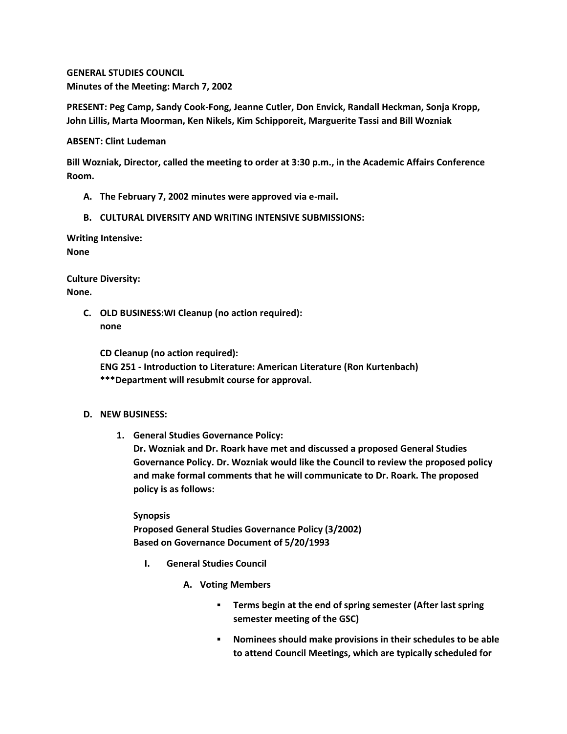**GENERAL STUDIES COUNCIL Minutes of the Meeting: March 7, 2002**

**PRESENT: Peg Camp, Sandy Cook-Fong, Jeanne Cutler, Don Envick, Randall Heckman, Sonja Kropp, John Lillis, Marta Moorman, Ken Nikels, Kim Schipporeit, Marguerite Tassi and Bill Wozniak**

**ABSENT: Clint Ludeman**

**Bill Wozniak, Director, called the meeting to order at 3:30 p.m., in the Academic Affairs Conference Room.**

- **A. The February 7, 2002 minutes were approved via e-mail.**
- **B. CULTURAL DIVERSITY AND WRITING INTENSIVE SUBMISSIONS:**

**Writing Intensive:**

**None**

**Culture Diversity: None.**

> **C. OLD BUSINESS:WI Cleanup (no action required): none**

**CD Cleanup (no action required): ENG 251 - Introduction to Literature: American Literature (Ron Kurtenbach) \*\*\*Department will resubmit course for approval.**

## **D. NEW BUSINESS:**

**1. General Studies Governance Policy:**

**Dr. Wozniak and Dr. Roark have met and discussed a proposed General Studies Governance Policy. Dr. Wozniak would like the Council to review the proposed policy and make formal comments that he will communicate to Dr. Roark. The proposed policy is as follows:**

**Synopsis Proposed General Studies Governance Policy (3/2002) Based on Governance Document of 5/20/1993** 

- **I. General Studies Council** 
	- **A. Voting Members** 
		- **Terms begin at the end of spring semester (After last spring semester meeting of the GSC)**
		- **Nominees should make provisions in their schedules to be able to attend Council Meetings, which are typically scheduled for**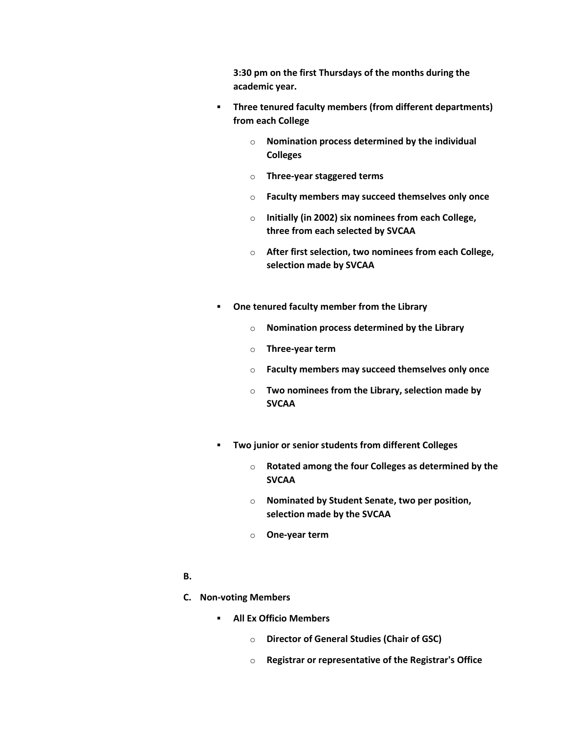**3:30 pm on the first Thursdays of the months during the academic year.**

- **Three tenured faculty members (from different departments) from each College** 
	- o **Nomination process determined by the individual Colleges**
	- o **Three-year staggered terms**
	- o **Faculty members may succeed themselves only once**
	- o **Initially (in 2002) six nominees from each College, three from each selected by SVCAA**
	- o **After first selection, two nominees from each College, selection made by SVCAA**
- **One tenured faculty member from the Library** 
	- o **Nomination process determined by the Library**
	- o **Three-year term**
	- o **Faculty members may succeed themselves only once**
	- o **Two nominees from the Library, selection made by SVCAA**
- **Two junior or senior students from different Colleges** 
	- o **Rotated among the four Colleges as determined by the SVCAA**
	- o **Nominated by Student Senate, two per position, selection made by the SVCAA**
	- o **One-year term**
- **B.**
- **C. Non-voting Members** 
	- **All Ex Officio Members** 
		- o **Director of General Studies (Chair of GSC)**
		- o **Registrar or representative of the Registrar's Office**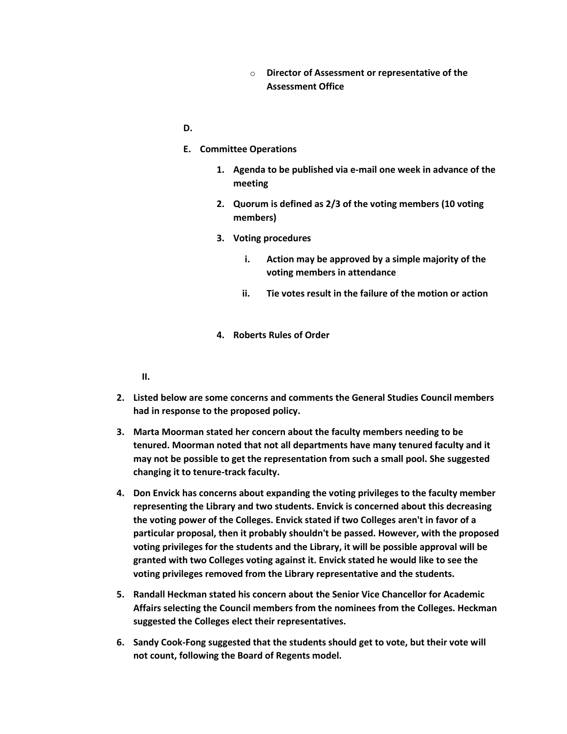- o **Director of Assessment or representative of the Assessment Office**
- **D.**
- **E. Committee Operations** 
	- **1. Agenda to be published via e-mail one week in advance of the meeting**
	- **2. Quorum is defined as 2/3 of the voting members (10 voting members)**
	- **3. Voting procedures** 
		- **i. Action may be approved by a simple majority of the voting members in attendance**
		- **ii. Tie votes result in the failure of the motion or action**
	- **4. Roberts Rules of Order**

**II.**

- **2. Listed below are some concerns and comments the General Studies Council members had in response to the proposed policy.**
- **3. Marta Moorman stated her concern about the faculty members needing to be tenured. Moorman noted that not all departments have many tenured faculty and it may not be possible to get the representation from such a small pool. She suggested changing it to tenure-track faculty.**
- **4. Don Envick has concerns about expanding the voting privileges to the faculty member representing the Library and two students. Envick is concerned about this decreasing the voting power of the Colleges. Envick stated if two Colleges aren't in favor of a particular proposal, then it probably shouldn't be passed. However, with the proposed voting privileges for the students and the Library, it will be possible approval will be granted with two Colleges voting against it. Envick stated he would like to see the voting privileges removed from the Library representative and the students.**
- **5. Randall Heckman stated his concern about the Senior Vice Chancellor for Academic Affairs selecting the Council members from the nominees from the Colleges. Heckman suggested the Colleges elect their representatives.**
- **6. Sandy Cook-Fong suggested that the students should get to vote, but their vote will not count, following the Board of Regents model.**